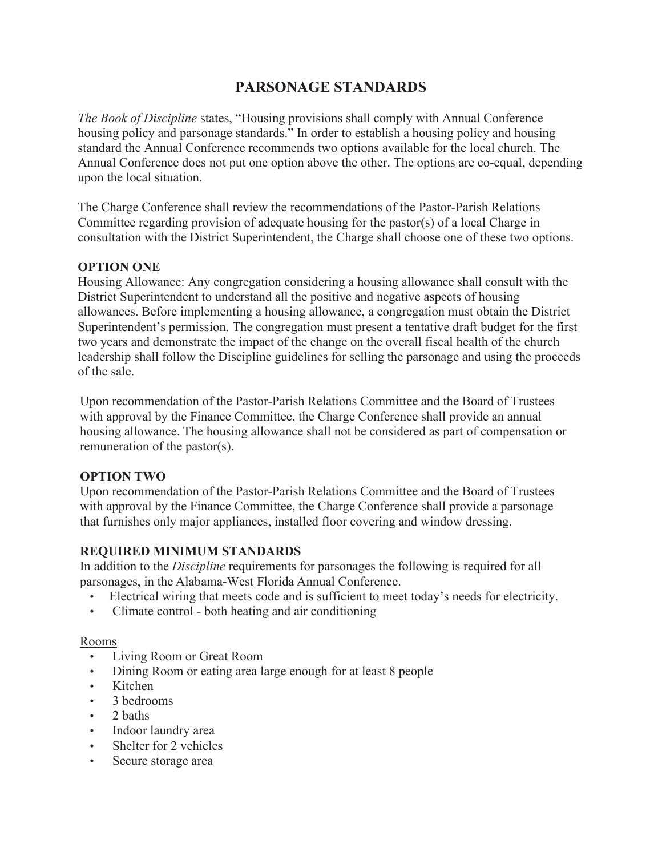# **PARSONAGE STANDARDS**

*The Book of Discipline* states, "Housing provisions shall comply with Annual Conference housing policy and parsonage standards." In order to establish a housing policy and housing standard the Annual Conference recommends two options available for the local church. The Annual Conference does not put one option above the other. The options are co-equal, depending upon the local situation.

The Charge Conference shall review the recommendations of the Pastor-Parish Relations Committee regarding provision of adequate housing for the pastor(s) of a local Charge in consultation with the District Superintendent, the Charge shall choose one of these two options.

#### **OPTION ONE**

Housing Allowance: Any congregation considering a housing allowance shall consult with the District Superintendent to understand all the positive and negative aspects of housing allowances. Before implementing a housing allowance, a congregation must obtain the District Superintendent's permission. The congregation must present a tentative draft budget for the first two years and demonstrate the impact of the change on the overall fiscal health of the church leadership shall follow the Discipline guidelines for selling the parsonage and using the proceeds of the sale.

Upon recommendation of the Pastor-Parish Relations Committee and the Board of Trustees with approval by the Finance Committee, the Charge Conference shall provide an annual housing allowance. The housing allowance shall not be considered as part of compensation or remuneration of the pastor(s).

#### **OPTION TWO**

Upon recommendation of the Pastor-Parish Relations Committee and the Board of Trustees with approval by the Finance Committee, the Charge Conference shall provide a parsonage that furnishes only major appliances, installed floor covering and window dressing.

#### **REQUIRED MINIMUM STANDARDS**

In addition to the *Discipline* requirements for parsonages the following is required for all parsonages, in the Alabama-West Florida Annual Conference.

- Electrical wiring that meets code and is sufficient to meet today's needs for electricity.
- Climate control both heating and air conditioning

#### Rooms

- Living Room or Great Room
- Dining Room or eating area large enough for at least 8 people
- Kitchen
- 3 bedrooms
- 2 baths
- Indoor laundry area
- Shelter for 2 vehicles
- Secure storage area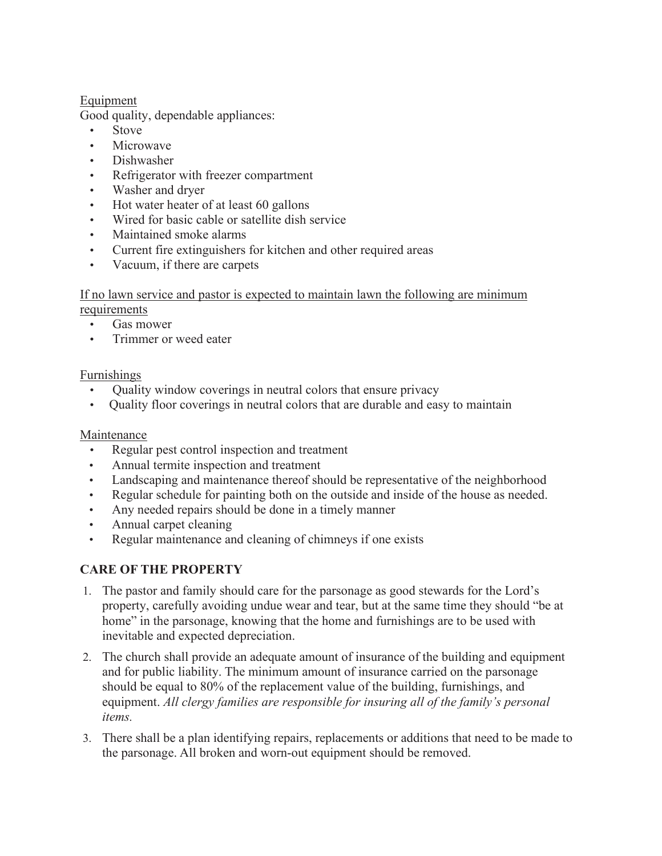### Equipment

Good quality, dependable appliances:

- Stove
- Microwave
- Dishwasher
- Refrigerator with freezer compartment
- Washer and dryer
- Hot water heater of at least 60 gallons
- Wired for basic cable or satellite dish service
- Maintained smoke alarms
- Current fire extinguishers for kitchen and other required areas
- Vacuum, if there are carpets

## If no lawn service and pastor is expected to maintain lawn the following are minimum

requirements

- Gas mower
- Trimmer or weed eater

#### Furnishings

- Quality window coverings in neutral colors that ensure privacy
- Quality floor coverings in neutral colors that are durable and easy to maintain

### Maintenance

- Regular pest control inspection and treatment
- Annual termite inspection and treatment
- Landscaping and maintenance thereof should be representative of the neighborhood
- Regular schedule for painting both on the outside and inside of the house as needed.
- Any needed repairs should be done in a timely manner
- Annual carpet cleaning
- Regular maintenance and cleaning of chimneys if one exists

## **CARE OF THE PROPERTY**

- 1. The pastor and family should care for the parsonage as good stewards for the Lord's property, carefully avoiding undue wear and tear, but at the same time they should "be at home" in the parsonage, knowing that the home and furnishings are to be used with inevitable and expected depreciation.
- 2. The church shall provide an adequate amount of insurance of the building and equipment and for public liability. The minimum amount of insurance carried on the parsonage should be equal to 80% of the replacement value of the building, furnishings, and equipment. *All clergy families are responsible for insuring all of the family's personal items.*
- 3. There shall be a plan identifying repairs, replacements or additions that need to be made to the parsonage. All broken and worn-out equipment should be removed.